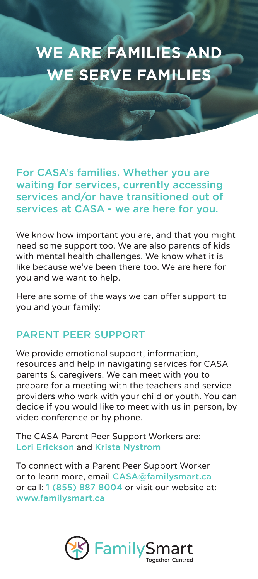# **WE ARE FAMILIES AND WE SERVE FAMILIES**

For CASA's families. Whether you are waiting for services, currently accessing services and/or have transitioned out of services at CASA - we are here for you.

We know how important you are, and that you might need some support too. We are also parents of kids with mental health challenges. We know what it is like because we've been there too. We are here for you and we want to help.

Here are some of the ways we can offer support to you and your family:

### PARENT PEER SUPPORT

We provide emotional support, information, resources and help in navigating services for CASA parents & caregivers. We can meet with you to prepare for a meeting with the teachers and service providers who work with your child or youth. You can decide if you would like to meet with us in person, by video conference or by phone.

The CASA Parent Peer Support Workers are: Lori Erickson and Krista Nystrom

To connect with a Parent Peer Support Worker or to learn more, email CASA@familysmart.ca or call: 1 (855) 887 8004 or visit our website at: www.familysmart.ca